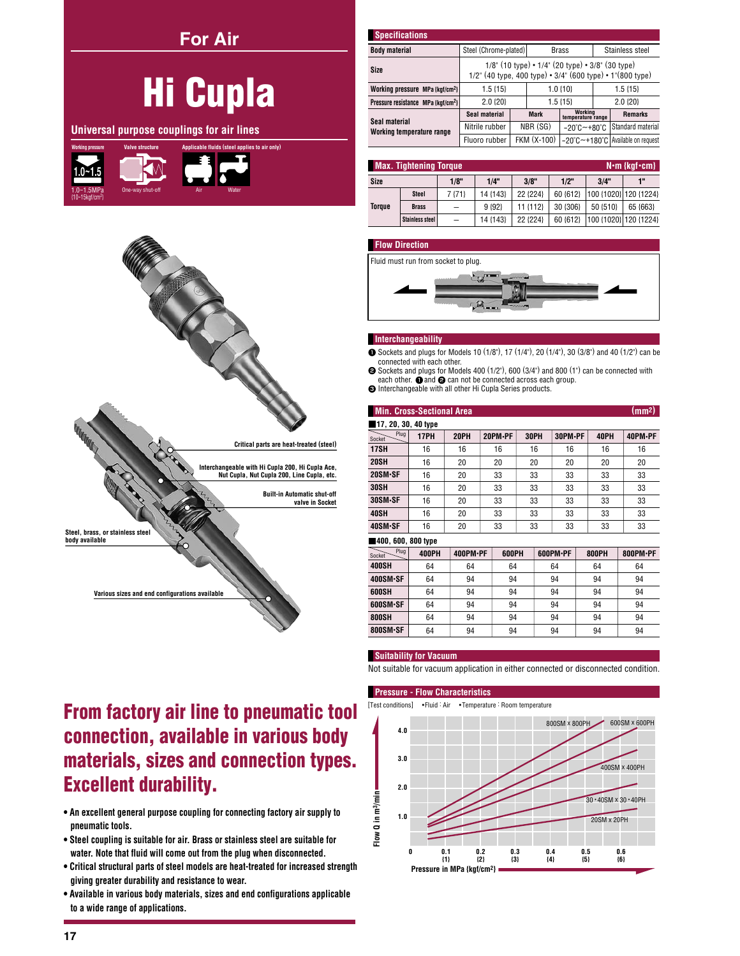**For Air** 

|                         |                        | <b>Hi Cupla</b>                               |
|-------------------------|------------------------|-----------------------------------------------|
|                         |                        | Universal purpose couplings for air lines     |
| <b>Working pressure</b> | <b>Valve structure</b> | Applicable fluids (steel applies to air only) |

n<sub>ne</sub>



## From factory air line to pneumatic tool connection, available in various body materials, sizes and connection types. **Excellent durability.**

- An excellent general purpose coupling for connecting factory air supply to pneumatic tools.
- . Steel coupling is suitable for air. Brass or stainless steel are suitable for water. Note that fluid will come out from the plug when disconnected.
- Critical structural parts of steel models are heat-treated for increased strength giving greater durability and resistance to wear.
- . Available in various body materials, sizes and end configurations applicable to a wide range of applications.

| <b>Specifications</b>                          |                                                                                                                           |  |             |                                  |                 |                                     |  |  |  |
|------------------------------------------------|---------------------------------------------------------------------------------------------------------------------------|--|-------------|----------------------------------|-----------------|-------------------------------------|--|--|--|
| <b>Body material</b>                           | Steel (Chrome-plated)                                                                                                     |  |             | <b>Brass</b>                     | Stainless steel |                                     |  |  |  |
| Size                                           | $1/8$ " (10 type) • $1/4$ " (20 type) • $3/8$ " (30 type)<br>$1/2$ " (40 type, 400 type) • 3/4" (600 type) • 1"(800 type) |  |             |                                  |                 |                                     |  |  |  |
| Working pressure MPa {kgf/cm <sup>2</sup> }    | $1.5 \{15\}$                                                                                                              |  |             | $1.0 \{10\}$                     | $1.5\{15\}$     |                                     |  |  |  |
| Pressure resistance MPa {kgf/cm <sup>2</sup> } | 2.0 {20}                                                                                                                  |  |             | $1.5 \{15\}$                     | $2.0$ $\{20\}$  |                                     |  |  |  |
|                                                | Seal material                                                                                                             |  | <b>Mark</b> | Working<br>temperature range     |                 | <b>Remarks</b>                      |  |  |  |
| Seal material<br>Working temperature range     | Nitrile rubber                                                                                                            |  | NBR (SG)    | $-20^{\circ}$ C $-+80^{\circ}$ C |                 | Standard material                   |  |  |  |
|                                                | Fluoro rubber                                                                                                             |  | FKM (X-100) |                                  |                 | -20°C~+180°C   Available on request |  |  |  |

| <b>Max. Tightening Torque</b><br>$N \cdot m$ {kgf $\cdot$ cm} |                        |        |          |          |          |          |                       |  |  |  |  |  |
|---------------------------------------------------------------|------------------------|--------|----------|----------|----------|----------|-----------------------|--|--|--|--|--|
| Size                                                          |                        | 1/8"   | 1/4"     | 3/8"     | 1/2"     | 3/4"     | 1"                    |  |  |  |  |  |
|                                                               | <b>Steel</b>           | 7 {71} | 14 {143} | 22 {224} | 60 {612} |          | 100 {1020} 120 {1224} |  |  |  |  |  |
| <b>Torque</b>                                                 | <b>Brass</b>           |        | 9 {92}   | 11 {112} | 30 {306} | 50 {510} | 65 {663}              |  |  |  |  |  |
|                                                               | <b>Stainless steel</b> | —      | 14 {143} | 22 {224} | 60 {612} |          | 100 {1020} 120 {1224} |  |  |  |  |  |

#### **Flow Direction**



#### Interchangeability

- Sockets and plugs for Models 10 (1/8"), 17 (1/4"), 20 (1/4"), 30 (3/8") and 40 (1/2") can be connected with each other.
- Sockets and plugs for Models 400 (1/2"), 600 (3/4") and 800 (1") can be connected with each other.  $\bullet$  and  $\bullet$  can not be connected across each group.
- **O** Interchangeable with all other Hi Cupla Series products.

| (mm <sup>2</sup> )<br><b>Min. Cross-Sectional Area</b> |              |             |  |         |    |      |          |    |              |          |  |  |  |  |
|--------------------------------------------------------|--------------|-------------|--|---------|----|------|----------|----|--------------|----------|--|--|--|--|
| 17, 20, 30, 40 type                                    |              |             |  |         |    |      |          |    |              |          |  |  |  |  |
| Plug<br>Socket                                         | 17PH         | <b>20PH</b> |  | 20PM-PF |    | 30PH | 30PM-PF  |    | 40PH         | 40PM-PF  |  |  |  |  |
| <b>17SH</b>                                            | 16           | 16          |  | 16      |    | 16   | 16       |    | 16           | 16       |  |  |  |  |
| <b>20SH</b>                                            | 16           | 20          |  | 20      |    | 20   | 20       |    | 20           | 20       |  |  |  |  |
| 20SM-SF                                                | 16           | 20          |  | 33      |    | 33   | 33       |    | 33           | 33       |  |  |  |  |
| <b>30SH</b>                                            | 16           | 20          |  | 33      |    | 33   | 33       |    | 33           | 33       |  |  |  |  |
| 30SM-SF                                                | 16           | 20          |  | 33      | 33 |      | 33       |    | 33           | 33       |  |  |  |  |
| 40SH                                                   | 16           | 20          |  | 33      |    | 33   | 33       |    | 33           | 33       |  |  |  |  |
| 40SM-SF                                                | 16           | 20          |  | 33      | 33 |      | 33       |    | 33           | 33       |  |  |  |  |
| 400, 600, 800 type                                     |              |             |  |         |    |      |          |    |              |          |  |  |  |  |
| Plug<br>Socket                                         | <b>400PH</b> | 400PM·PF    |  | 600PH   |    |      | 600PM·PF |    | <b>800PH</b> | 800PM·PF |  |  |  |  |
| <b>400SH</b>                                           | 64           | 64          |  | 64      |    | 64   |          | 64 |              | 64       |  |  |  |  |
| 400SM-SF                                               | 64           | 94          |  | 94      |    |      | 94       | 94 |              | 94       |  |  |  |  |
| 600SH                                                  | 64           | 94          |  | 94      |    |      | 94       |    | 94           | 94       |  |  |  |  |
| 600SM-SF                                               | 64           | 94          |  | 94      |    |      | 94       | 94 |              | 94       |  |  |  |  |
| <b>800SH</b>                                           | 64           | 94          |  | 94      |    |      | 94       | 94 |              | 94       |  |  |  |  |
| 800SM-SF                                               | 64           | 94          |  | 94      |    | 94   |          | 94 |              | 94       |  |  |  |  |

### **Suitability for Vacuum**

Not suitable for vacuum application in either connected or disconnected condition.

### **Pressure - Flow Characteristics**

[Test conditions] •Fluid : Air •Temperature : Room temperature